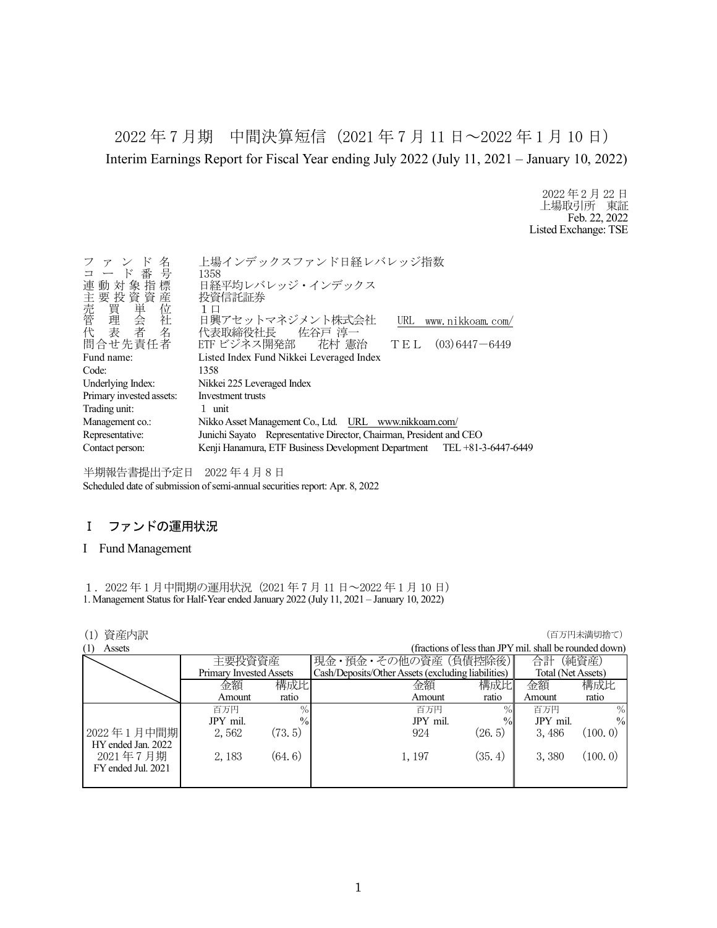2022 年 7 月期 中間決算短信(2021 年 7 月 11 日~2022 年 1 月 10 日) Interim Earnings Report for Fiscal Year ending July 2022 (July 11, 2021 – January 10, 2022)

> 2022 年 2 月 22 日 上場取引所 東証 Feb. 22, 2022 Listed Exchange: TSE

| 名<br>ファンド                              | 上場インデックスファンド日経レバレッジ指数                                                   |
|----------------------------------------|-------------------------------------------------------------------------|
| コード番号                                  | 1358                                                                    |
| 連動対象指標                                 | 日経平均レバレッジ・インデックス                                                        |
|                                        | 投資信託証券                                                                  |
|                                        | 1 口                                                                     |
|                                        | 日興アセットマネジメント株式会社<br>URL www.nikkoam.com/                                |
| )主売管代<br>「我買理会者」<br>「我質単会者」<br>「我質単会者」 | 代表取締役社長 佐谷戸 淳一                                                          |
| 問合せ先責任者                                | ETF ビジネス開発部 花村 憲治<br>$TE L (03) 6447 - 6449$                            |
| Fund name:                             | Listed Index Fund Nikkei Leveraged Index                                |
| Code:                                  | 1358                                                                    |
| Underlying Index:                      | Nikkei 225 Leveraged Index                                              |
| Primary invested assets:               | Investment trusts                                                       |
| Trading unit:                          | 1 unit                                                                  |
| Management co.:                        | Nikko Asset Management Co., Ltd. URL www.nikkoam.com/                   |
| Representative:                        | Junichi Sayato Representative Director, Chairman, President and CEO     |
| Contact person:                        | Kenji Hanamura, ETF Business Development Department TEL +81-3-6447-6449 |
|                                        |                                                                         |

半期報告書提出予定日 2022 年 4 月 8 日 Scheduled date of submission of semi-annual securities report: Apr. 8, 2022

### Ⅰ ファンドの運用状況

#### I Fund Management

1. 2022 年 1 月中間期の運用状況 (2021 年 7 月 11 日~2022 年 1 月 10 日) 1. Management Status for Half-Year ended January 2022 (July 11, 2021 – January 10, 2022)

| 資産内訳                       |                         |               |                                                    |               |                                                         | (百万円未満切捨て)    |
|----------------------------|-------------------------|---------------|----------------------------------------------------|---------------|---------------------------------------------------------|---------------|
| Assets<br>$\left(1\right)$ |                         |               |                                                    |               | (fractions of less than JPY mil. shall be rounded down) |               |
|                            | 主要投資資産                  |               | 現金・預金・その他の資産(負債控除後)                                |               | 合計                                                      | (純資産)         |
|                            | Primary Invested Assets |               | Cash/Deposits/Other Assets (excluding liabilities) |               | Total (Net Assets)                                      |               |
|                            | 金額                      | 構成比           | 金額                                                 | 構成比           | 金額                                                      | 構成比           |
|                            | Amount                  | ratio         | Amount                                             | ratio         | Amount                                                  | ratio         |
|                            | 百万円                     | $\%$          | 百万円                                                | $\%$          | 百万円                                                     | $\%$          |
|                            | JPY mil.                | $\frac{0}{0}$ | JPY mil.                                           | $\frac{0}{0}$ | JPY mil.                                                | $\frac{0}{0}$ |
| 2022年1月中間期                 | 2,562                   | (73.5)        | 924                                                | (26, 5)       | 3,486                                                   | (100.0)       |
| HY ended Jan. 2022         |                         |               |                                                    |               |                                                         |               |
| 2021年7月期                   | 2,183                   | (64.6)        | 1, 197                                             | (35.4)        | 3,380                                                   | (100.0)       |
| FY ended Jul. 2021         |                         |               |                                                    |               |                                                         |               |
|                            |                         |               |                                                    |               |                                                         |               |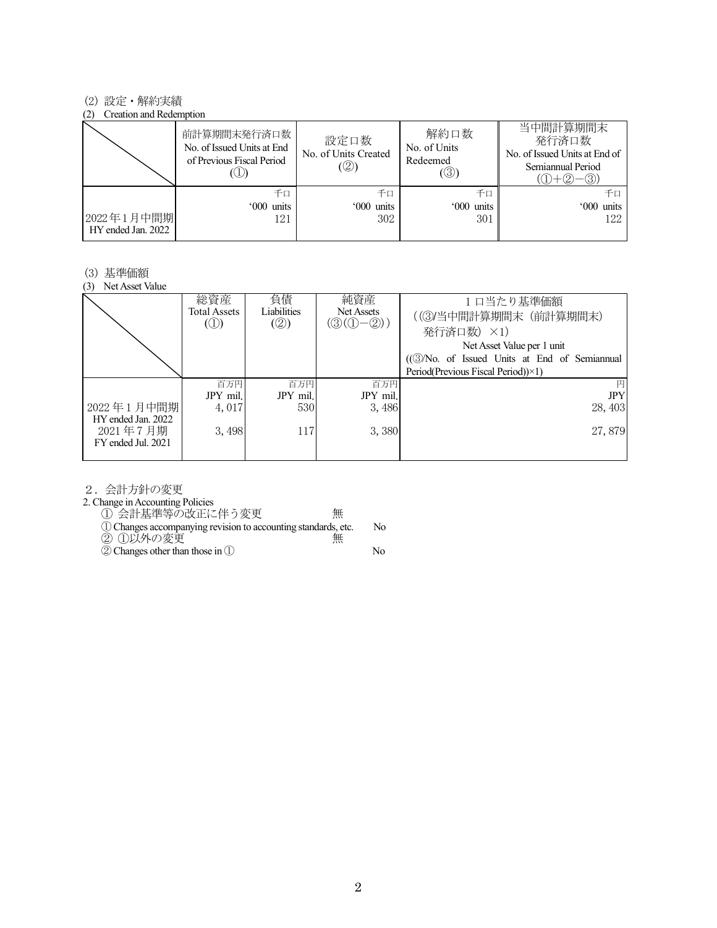#### (2) 設定・解約実績

#### (2) Creation and Redemption

| $\sim$ $\sim$                    | 前計算期間末発行済口数<br>No. of Issued Units at End<br>of Previous Fiscal Period | 設定口数<br>No. of Units Created<br>(②) | 解約口数<br>No. of Units<br>Redeemed<br>$(\circledS)$ | 当中間計算期間末<br>発行済口数<br>No. of Issued Units at End of<br>Semiannual Period<br>-(3)) |
|----------------------------------|------------------------------------------------------------------------|-------------------------------------|---------------------------------------------------|----------------------------------------------------------------------------------|
| 2022年1月中間期<br>HY ended Jan. 2022 | 千口<br>'000 units<br>121                                                | 千口<br>'000 units<br>302             | 千口<br>'000 units<br>301                           | 千口<br>'000 units<br>122                                                          |

#### (3) 基準価額

(3) Net Asset Value

|                                                      | 総資産<br><b>Total Assets</b><br>$\circled{1}$ | 負債<br>Liabilities<br>$\mathcal{O}(2)$ | 純資産<br>Net Assets<br>$(\mathcal{D}(\mathbb{O}-\mathbb{Q}))$ | 1日当たり基準価額<br>((3)当中間計算期間末 (前計算期間末)<br>発行済口数) ×1)<br>Net Asset Value per 1 unit<br>((3)No. of Issued Units at End of Semiannual<br>Period(Previous Fiscal Period))×1) |
|------------------------------------------------------|---------------------------------------------|---------------------------------------|-------------------------------------------------------------|----------------------------------------------------------------------------------------------------------------------------------------------------------------------|
|                                                      | 百万円                                         | 百万円                                   | 百万円                                                         | 円                                                                                                                                                                    |
|                                                      | JPY mil.                                    | JPY mil.                              | JPY mil.                                                    | <b>JPY</b>                                                                                                                                                           |
| 2022年1月中間期                                           | 4,017                                       | 530                                   | 3,486                                                       | 28, 403                                                                                                                                                              |
| HY ended Jan. 2022<br>2021年7月期<br>FY ended Jul. 2021 | 3,498                                       | 117                                   | 3,380                                                       | 27,879                                                                                                                                                               |

2.会計方針の変更

2. Change in Accounting Policies

① 会計基準等の改正に伴う変更 無

①Changes accompanying revision to accounting standards, etc. No

② ①以外の変更 無

②Changes other than those in ① No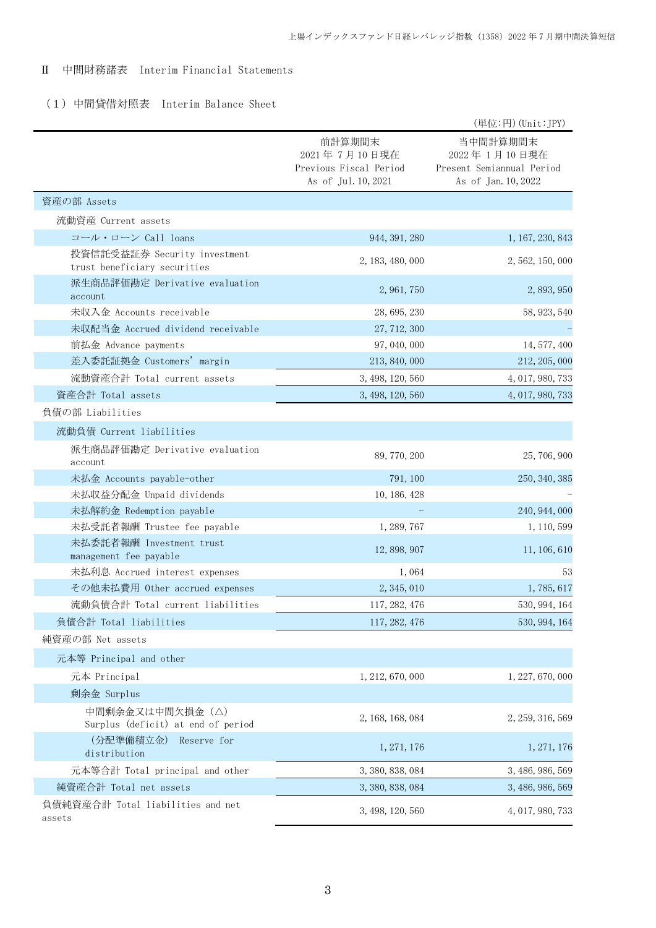## Ⅱ 中間財務諸表 Interim Financial Statements

# (1)中間貸借対照表 Interim Balance Sheet

|                                                              |                                                                         | (単位:円) (Unit:JPY)                                                              |
|--------------------------------------------------------------|-------------------------------------------------------------------------|--------------------------------------------------------------------------------|
|                                                              | 前計算期間末<br>2021年7月10日現在<br>Previous Fiscal Period<br>As of Jul. 10, 2021 | 当中間計算期間末<br>2022 年 1月10日現在<br>Present Semiannual Period<br>As of Jan. 10, 2022 |
| 資産の部 Assets                                                  |                                                                         |                                                                                |
| 流動資産 Current assets                                          |                                                                         |                                                                                |
| コール・ローン Call loans                                           | 944, 391, 280                                                           | 1, 167, 230, 843                                                               |
| 投資信託受益証券 Security investment<br>trust beneficiary securities | 2, 183, 480, 000                                                        | 2, 562, 150, 000                                                               |
| 派生商品評価勘定 Derivative evaluation<br>account                    | 2, 961, 750                                                             | 2, 893, 950                                                                    |
| 未収入金 Accounts receivable                                     | 28, 695, 230                                                            | 58, 923, 540                                                                   |
| 未収配当金 Accrued dividend receivable                            | 27, 712, 300                                                            |                                                                                |
| 前払金 Advance payments                                         | 97, 040, 000                                                            | 14, 577, 400                                                                   |
| 差入委託証拠金 Customers' margin                                    | 213, 840, 000                                                           | 212, 205, 000                                                                  |
| 流動資産合計 Total current assets                                  | 3, 498, 120, 560                                                        | 4, 017, 980, 733                                                               |
| 資産合計 Total assets                                            | 3, 498, 120, 560                                                        | 4, 017, 980, 733                                                               |
| 負債の部 Liabilities                                             |                                                                         |                                                                                |
| 流動負債 Current liabilities                                     |                                                                         |                                                                                |
| 派生商品評価勘定 Derivative evaluation<br>account                    | 89, 770, 200                                                            | 25, 706, 900                                                                   |
| 未払金 Accounts payable-other                                   | 791, 100                                                                | 250, 340, 385                                                                  |
| 未払収益分配金 Unpaid dividends                                     | 10, 186, 428                                                            |                                                                                |
| 未払解約金 Redemption payable                                     |                                                                         | 240, 944, 000                                                                  |
| 未払受託者報酬 Trustee fee payable                                  | 1, 289, 767                                                             | 1, 110, 599                                                                    |
| 未払委託者報酬 Investment trust<br>management fee payable           | 12, 898, 907                                                            | 11, 106, 610                                                                   |
| 未払利息 Accrued interest expenses                               | 1,064                                                                   | 53                                                                             |
| その他未払費用 Other accrued expenses                               | 2, 345, 010                                                             | 1, 785, 617                                                                    |
| 流動負債合計 Total current liabilities                             | 117, 282, 476                                                           | 530, 994, 164                                                                  |
| 負債合計 Total liabilities                                       | 117, 282, 476                                                           | 530, 994, 164                                                                  |
| 純資産の部 Net assets                                             |                                                                         |                                                                                |
| 元本等 Principal and other                                      |                                                                         |                                                                                |
| 元本 Principal                                                 | 1, 212, 670, 000                                                        | 1, 227, 670, 000                                                               |
| 剰余金 Surplus                                                  |                                                                         |                                                                                |
| 中間剰余金又は中間欠損金(△)<br>Surplus (deficit) at end of period        | 2, 168, 168, 084                                                        | 2, 259, 316, 569                                                               |
| (分配準備積立金)<br>Reserve for<br>distribution                     | 1, 271, 176                                                             | 1, 271, 176                                                                    |
| 元本等合計 Total principal and other                              | 3, 380, 838, 084                                                        | 3, 486, 986, 569                                                               |
| 純資産合計 Total net assets                                       | 3, 380, 838, 084                                                        | 3, 486, 986, 569                                                               |
| 負債純資産合計 Total liabilities and net<br>assets                  | 3, 498, 120, 560                                                        | 4, 017, 980, 733                                                               |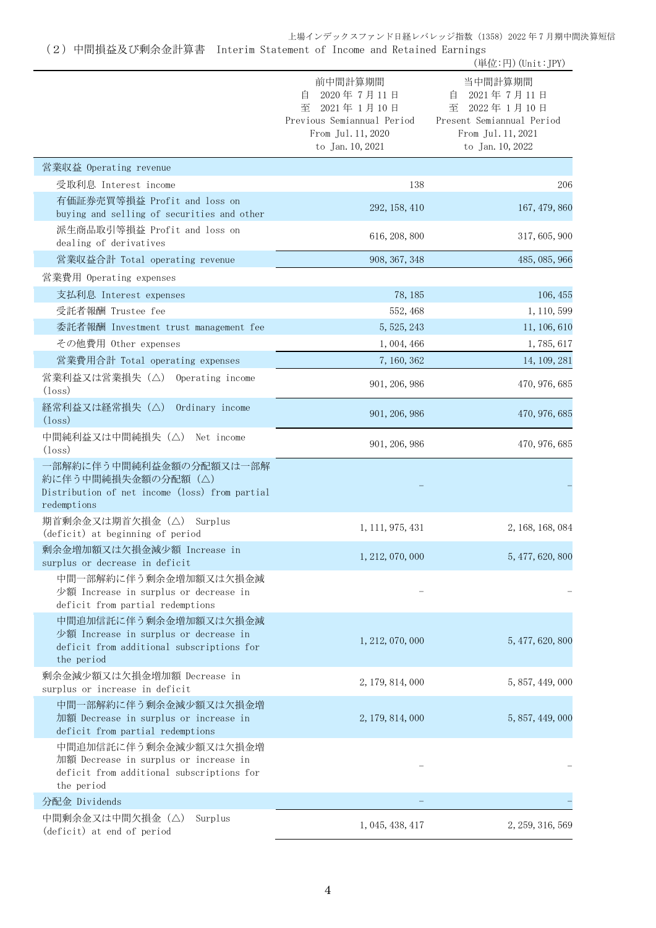(2)中間損益及び剰余金計算書 Interim Statement of Income and Retained Earnings

|                                                                                                                           |                                                                                                                    | (単位:円) (Unit:JPY)                                                                                                    |
|---------------------------------------------------------------------------------------------------------------------------|--------------------------------------------------------------------------------------------------------------------|----------------------------------------------------------------------------------------------------------------------|
|                                                                                                                           | 前中間計算期間<br>2020年7月11日<br>自<br>至 2021年1月10日<br>Previous Semiannual Period<br>From Jul. 11, 2020<br>to Jan. 10, 2021 | 当中間計算期間<br>2021年7月11日<br>目<br>2022年1月10日<br>至<br>Present Semiannual Period<br>From Jul. 11, 2021<br>to Jan. 10, 2022 |
| 営業収益 Operating revenue                                                                                                    |                                                                                                                    |                                                                                                                      |
| 受取利息 Interest income                                                                                                      | 138                                                                                                                | 206                                                                                                                  |
| 有価証券売買等損益 Profit and loss on<br>buying and selling of securities and other                                                | 292, 158, 410                                                                                                      | 167, 479, 860                                                                                                        |
| 派生商品取引等損益 Profit and loss on<br>dealing of derivatives                                                                    | 616, 208, 800                                                                                                      | 317, 605, 900                                                                                                        |
| 営業収益合計 Total operating revenue                                                                                            | 908, 367, 348                                                                                                      | 485, 085, 966                                                                                                        |
| 営業費用 Operating expenses                                                                                                   |                                                                                                                    |                                                                                                                      |
| 支払利息 Interest expenses                                                                                                    | 78, 185                                                                                                            | 106, 455                                                                                                             |
| 受託者報酬 Trustee fee                                                                                                         | 552, 468                                                                                                           | 1, 110, 599                                                                                                          |
| 委託者報酬 Investment trust management fee                                                                                     | 5, 525, 243                                                                                                        | 11, 106, 610                                                                                                         |
| その他費用 Other expenses                                                                                                      | 1,004,466                                                                                                          | 1,785,617                                                                                                            |
| 営業費用合計 Total operating expenses                                                                                           | 7, 160, 362                                                                                                        | 14, 109, 281                                                                                                         |
| 営業利益又は営業損失(△)<br>Operating income<br>$(l$ <sub>oss</sub> $)$                                                              | 901, 206, 986                                                                                                      | 470, 976, 685                                                                                                        |
| 経常利益又は経常損失(△)<br>Ordinary income<br>$(\text{loss})$                                                                       | 901, 206, 986                                                                                                      | 470, 976, 685                                                                                                        |
| 中間純利益又は中間純損失(△) Net income<br>$(l$ <sub>oss</sub> $)$                                                                     | 901, 206, 986                                                                                                      | 470, 976, 685                                                                                                        |
| 一部解約に伴う中間純利益金額の分配額又は一部解<br>約に伴う中間純損失金額の分配額(△)                                                                             |                                                                                                                    |                                                                                                                      |
| Distribution of net income (loss) from partial<br>redemptions                                                             |                                                                                                                    |                                                                                                                      |
| 期首剰余金又は期首欠損金 (△) Surplus<br>(deficit) at beginning of period                                                              | 1, 111, 975, 431                                                                                                   | 2, 168, 168, 084                                                                                                     |
| 剰余金増加額又は欠損金減少額 Increase in<br>surplus or decrease in deficit                                                              | 1, 212, 070, 000                                                                                                   | 5, 477, 620, 800                                                                                                     |
| 中間一部解約に伴う剰余金増加額又は欠損金減<br>少額 Increase in surplus or decrease in<br>deficit from partial redemptions                        |                                                                                                                    |                                                                                                                      |
| 中間追加信託に伴う剰余金増加額又は欠損金減<br>少額 Increase in surplus or decrease in<br>deficit from additional subscriptions for<br>the period | 1, 212, 070, 000                                                                                                   | 5, 477, 620, 800                                                                                                     |
| 剰余金減少額又は欠損金増加額 Decrease in<br>surplus or increase in deficit                                                              | 2, 179, 814, 000                                                                                                   | 5, 857, 449, 000                                                                                                     |
| 中間一部解約に伴う剰余金減少額又は欠損金増<br>加額 Decrease in surplus or increase in<br>deficit from partial redemptions                        | 2, 179, 814, 000                                                                                                   | 5, 857, 449, 000                                                                                                     |
| 中間追加信託に伴う剰余金減少額又は欠損金増<br>加額 Decrease in surplus or increase in<br>deficit from additional subscriptions for<br>the period |                                                                                                                    |                                                                                                                      |
| 分配金 Dividends                                                                                                             |                                                                                                                    |                                                                                                                      |
| 中間剰余金又は中間欠損金(△)<br>Surplus<br>(deficit) at end of period                                                                  | 1, 045, 438, 417                                                                                                   | 2, 259, 316, 569                                                                                                     |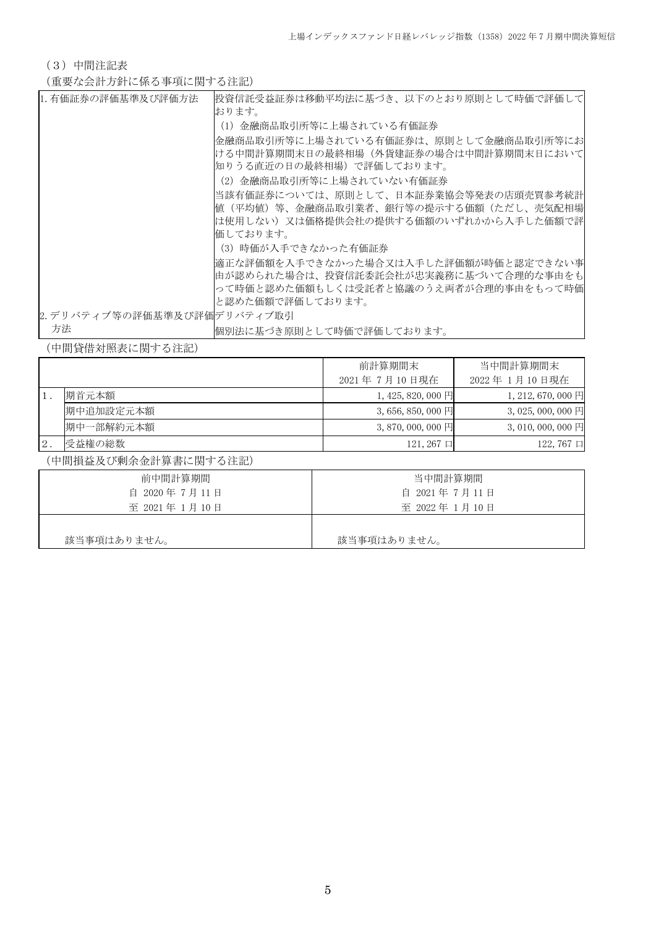(3)中間注記表

(重要な会計方針に係る事項に関する注記)

| 1. 有価証券の評価基準及び評価方法          | 投資信託受益証券は移動平均法に基づき、以下のとおり原則として時価で評価して <br>おります。                                                                          |
|-----------------------------|--------------------------------------------------------------------------------------------------------------------------|
|                             | (1)金融商品取引所等に上場されている有価証券                                                                                                  |
|                             | 金融商品取引所等に上場されている有価証券は、原則として金融商品取引所等にお<br>ける中間計算期間末日の最終相場(外貨建証券の場合は中間計算期間末日において<br> 知りうる直近の日の最終相場)で評価しております。              |
|                             | (2) 金融商品取引所等に上場されていない有価証券                                                                                                |
|                             | 当該有価証券については、原則として、日本証券業協会等発表の店頭売買参考統計                                                                                    |
|                             | 値(平均値)等、金融商品取引業者、銀行等の提示する価額(ただし、売気配相場                                                                                    |
|                             | は使用しない)又は価格提供会社の提供する価額のいずれかから入手した価額で評                                                                                    |
|                             | 価しております。                                                                                                                 |
|                             | (3)時価が入手できなかった有価証券                                                                                                       |
|                             | 適正な評価額を入手できなかった場合又は入手した評価額が時価と認定できない事<br> 由が認められた場合は、投資信託委託会社が忠実義務に基づいて合理的な事由をも<br>って時価と認めた価額もしくは受託者と協議のうえ両者が合理的事由をもって時価 |
|                             | と認めた価額で評価しております。                                                                                                         |
| 2. デリバティブ等の評価基準及び評価デリバティブ取引 |                                                                                                                          |
| 方法                          | 個別法に基づき原則として時価で評価しております。                                                                                                 |

(中間貸借対照表に関する注記)

|       |           | 前計算期間末                  | 当中間計算期間末                    |  |
|-------|-----------|-------------------------|-----------------------------|--|
|       |           | 2021年7月10日現在            | 2022年 1月10日現在               |  |
|       | 期首元本額     | $1,425,820,000$ 円       | 1, 212, 670, 000 $\boxplus$ |  |
|       | 期中追加設定元本額 | $3,656,850,000$ 円       | $3,025,000,000$ 円           |  |
|       | 期中一部解約元本額 | 3, 870, 000, 000 $\Box$ | 3, 010, 000, 000 $\Box$     |  |
| $2$ . | 受益権の総数    | $121,267$ 口             | $122,767$ $\Box$            |  |

(中間損益及び剰余金計算書に関する注記)

| 前中間計算期間      | 当中間計算期間       |
|--------------|---------------|
| 自 2020年7月11日 | 自 2021年7月11日  |
| 至 2021年1月10日 | 至 2022年 1月10日 |
|              |               |
| 該当事項はありません。  | 該当事項はありません。   |
|              |               |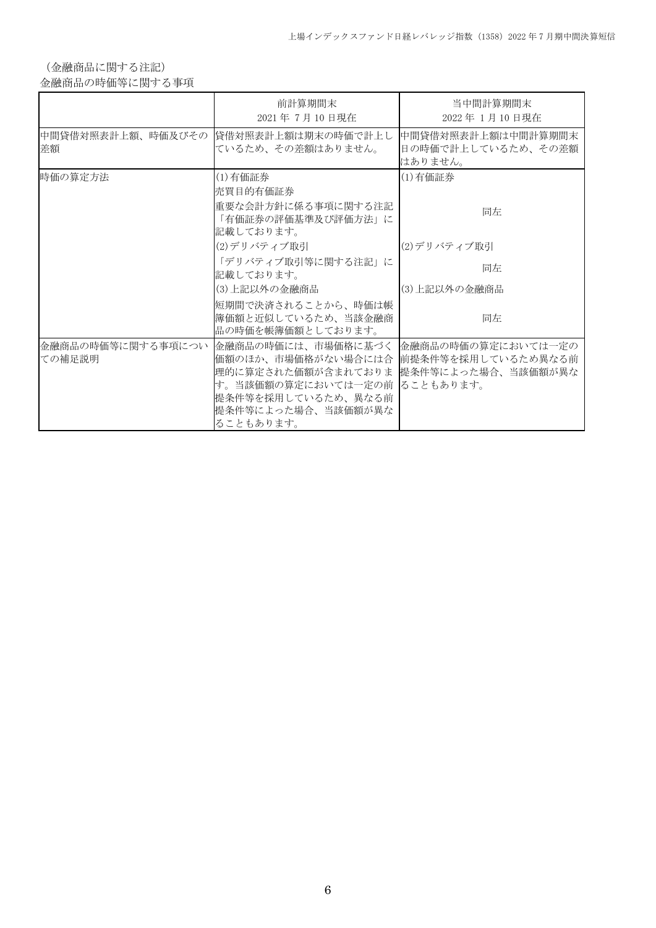(金融商品に関する注記)

金融商品の時価等に関する事項

|         | 前計算期間末<br>2021年7月10日現在                                                                                                                                                                                                                      | 当中間計算期間末<br>2022年1月10日現在                            |
|---------|---------------------------------------------------------------------------------------------------------------------------------------------------------------------------------------------------------------------------------------------|-----------------------------------------------------|
| 差額      | 中間貸借対照表計上額、時価及びその   貸借対照表計上額は期末の時価で計上し <br>ているため、その差額はありません。                                                                                                                                                                                | 中間貸借対照表計上額は中間計算期間末<br>日の時価で計上しているため、その差額<br>はありません。 |
| 時価の算定方法 | (1)有価証券<br> 売買目的有価証券<br>重要な会計方針に係る事項に関する注記<br>「有価証券の評価基準及び評価方法」に                                                                                                                                                                            | (1) 有価証券<br>同左                                      |
|         | 記載しております。<br>(2)デリバティブ取引                                                                                                                                                                                                                    | (2)デリバティブ取引                                         |
|         | 「デリバティブ取引等に関する注記」に<br>記載しております。<br>(3) 上記以外の金融商品                                                                                                                                                                                            | 同左<br>(3)上記以外の金融商品                                  |
|         | 短期間で決済されることから、時価は帳<br> 簿価額と近似しているため、当該金融商 <br>品の時価を帳簿価額としております。                                                                                                                                                                             | 同左                                                  |
| ての補足説明  | 金融商品の時価等に関する事項につい  金融商品の時価には、市場価格に基づく  金融商品の時価の算定においては一定の<br>価額のほか、市場価格がない場合には合  前提条件等を採用しているため異なる前<br> 理的に算定された価額が含まれておりま  提条件等によった場合、当該価額が異な <br>す。当該価額の算定においては一定の前 ることもあります。<br> 提条件等を採用しているため、 異なる前<br> 提条件等によった場合、当該価額が異な<br>ることもあります。 |                                                     |